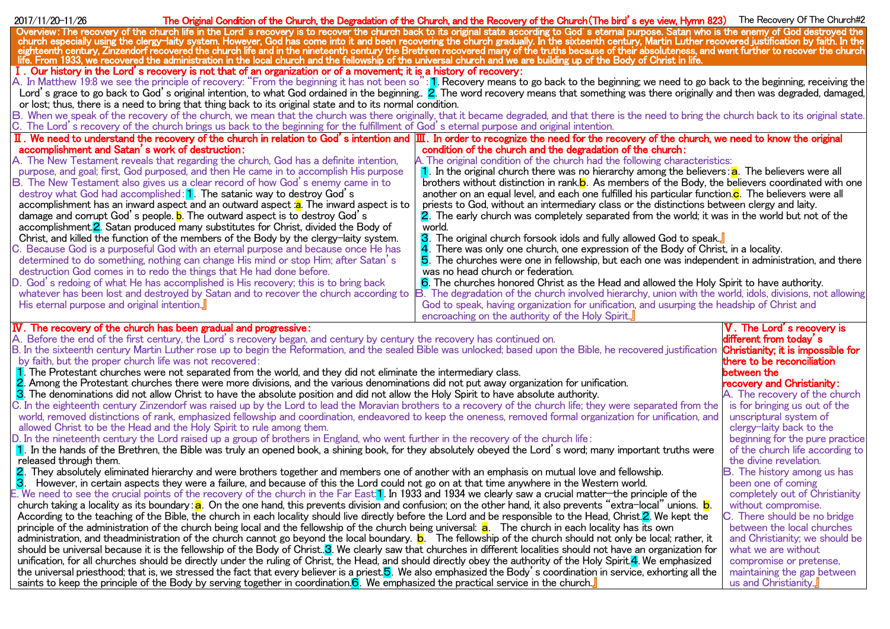| 2017/11/20-11/26                            |                                                                                                                                                                                    | The Original Condition of the Church, the Degradation of the Church, and the Recovery of the Church (The bird's eye view, Hymn 823) The Recovery Of The Church#2                                                               |                                                    |
|---------------------------------------------|------------------------------------------------------------------------------------------------------------------------------------------------------------------------------------|--------------------------------------------------------------------------------------------------------------------------------------------------------------------------------------------------------------------------------|----------------------------------------------------|
|                                             |                                                                                                                                                                                    | Overview: The recovery of the church life in the Lord's recovery is to recover the church back to its original state according to God's eternal purpose. Satan who is the enemy of God destroyed the church especially using t |                                                    |
|                                             |                                                                                                                                                                                    |                                                                                                                                                                                                                                |                                                    |
|                                             |                                                                                                                                                                                    |                                                                                                                                                                                                                                |                                                    |
|                                             | I. Our history in the Lord's recovery is not that of an organization or of a movement; it is a history of recovery:                                                                |                                                                                                                                                                                                                                |                                                    |
|                                             |                                                                                                                                                                                    | A. In Matthew 19:8 we see the principle of recovery: "From the beginning it has not been so": 1. Recovery means to go back to the beginning; we need to go back to the beginning, receiving the                                |                                                    |
|                                             |                                                                                                                                                                                    | Lord's grace to go back to God's original intention, to what God ordained in the beginning. 2. The word recovery means that something was there originally and then was degraded, damaged,                                     |                                                    |
|                                             | or lost; thus, there is a need to bring that thing back to its original state and to its normal condition.                                                                         |                                                                                                                                                                                                                                |                                                    |
|                                             |                                                                                                                                                                                    | B. When we speak of the recovery of the church, we mean that the church was there originally, that it became degraded, and that there is the need to bring the church back to its original state.                              |                                                    |
|                                             | C. The Lord's recovery of the church brings us back to the beginning for the fulfillment of God's eternal purpose and original intention.                                          |                                                                                                                                                                                                                                |                                                    |
|                                             |                                                                                                                                                                                    | $\rm{II}$ . We need to understand the recovery of the church in relation to God's intention and $\rm{III}$ . In order to recognize the need for the recovery of the church, we need to know the original                       |                                                    |
|                                             | accomplishment and Satan's work of destruction:                                                                                                                                    | condition of the church and the degradation of the church:                                                                                                                                                                     |                                                    |
|                                             | A. The New Testament reveals that regarding the church, God has a definite intention,                                                                                              | A. The original condition of the church had the following characteristics:                                                                                                                                                     |                                                    |
|                                             | purpose, and goal; first, God purposed, and then He came in to accomplish His purpose                                                                                              | $\vert \mathbf{1} \vert$ . In the original church there was no hierarchy among the believers: $\vert \mathbf{a} \vert$ . The believers were all                                                                                |                                                    |
|                                             | B. The New Testament also gives us a clear record of how God's enemy came in to                                                                                                    | brothers without distinction in rank. b. As members of the Body, the believers coordinated with one                                                                                                                            |                                                    |
|                                             | destroy what God had accomplished: 1. The satanic way to destroy God's                                                                                                             | another on an equal level, and each one fulfilled his particular function. <b>c</b> . The believers were all                                                                                                                   |                                                    |
|                                             | accomplishment has an inward aspect and an outward aspect :a. The inward aspect is to                                                                                              | priests to God, without an intermediary class or the distinctions between clergy and laity.                                                                                                                                    |                                                    |
|                                             | damage and corrupt God's people. <b>b</b> . The outward aspect is to destroy God's<br>accomplishment. <sup>2</sup> Satan produced many substitutes for Christ, divided the Body of | 2. The early church was completely separated from the world; it was in the world but not of the<br>world.                                                                                                                      |                                                    |
|                                             | Christ, and killed the function of the members of the Body by the clergy-laity system.                                                                                             | 3. The original church forsook idols and fully allowed God to speak.                                                                                                                                                           |                                                    |
|                                             | C. Because God is a purposeful God with an eternal purpose and because once He has                                                                                                 | 4. There was only one church, one expression of the Body of Christ, in a locality.                                                                                                                                             |                                                    |
|                                             | determined to do something, nothing can change His mind or stop Him; after Satan's                                                                                                 | 5. The churches were one in fellowship, but each one was independent in administration, and there                                                                                                                              |                                                    |
|                                             | destruction God comes in to redo the things that He had done before.                                                                                                               | was no head church or federation.                                                                                                                                                                                              |                                                    |
|                                             | D. God's redoing of what He has accomplished is His recovery; this is to bring back                                                                                                | 6. The churches honored Christ as the Head and allowed the Holy Spirit to have authority.                                                                                                                                      |                                                    |
|                                             | whatever has been lost and destroyed by Satan and to recover the church according to                                                                                               | B. The degradation of the church involved hierarchy, union with the world, idols, divisions, not allowing                                                                                                                      |                                                    |
| His eternal purpose and original intention. |                                                                                                                                                                                    | God to speak, having organization for unification, and usurping the headship of Christ and                                                                                                                                     |                                                    |
|                                             |                                                                                                                                                                                    | encroaching on the authority of the Holy Spirit.                                                                                                                                                                               |                                                    |
|                                             | $\overline{\mathbf{W}}$ . The recovery of the church has been gradual and progressive:                                                                                             |                                                                                                                                                                                                                                | V. The Lord's recovery is                          |
|                                             | A. Before the end of the first century, the Lord's recovery began, and century by century the recovery has continued on.                                                           |                                                                                                                                                                                                                                | different from today's                             |
|                                             |                                                                                                                                                                                    | B. In the sixteenth century Martin Luther rose up to begin the Reformation, and the sealed Bible was unlocked; based upon the Bible, he recovered justification <b>Christianity; it is impossible for</b>                      |                                                    |
|                                             | by faith, but the proper church life was not recovered:                                                                                                                            |                                                                                                                                                                                                                                | there to be reconciliation                         |
|                                             | 1. The Protestant churches were not separated from the world, and they did not eliminate the intermediary class.                                                                   |                                                                                                                                                                                                                                | between the                                        |
|                                             | 2. Among the Protestant churches there were more divisions, and the various denominations did not put away organization for unification.                                           |                                                                                                                                                                                                                                | recovery and Christianity:                         |
|                                             | 3. The denominations did not allow Christ to have the absolute position and did not allow the Holy Spirit to have absolute authority.                                              |                                                                                                                                                                                                                                | A. The recovery of the church                      |
|                                             |                                                                                                                                                                                    | C. In the eighteenth century Zinzendorf was raised up by the Lord to lead the Moravian brothers to a recovery of the church life; they were separated from the                                                                 | is for bringing us out of the                      |
|                                             | allowed Christ to be the Head and the Holy Spirit to rule among them.                                                                                                              | world, removed distinctions of rank, emphasized fellowship and coordination, endeavored to keep the oneness, removed formal organization for unification, and                                                                  | unscriptural system of<br>clergy-laity back to the |
|                                             | D. In the nineteenth century the Lord raised up a group of brothers in England, who went further in the recovery of the church life:                                               |                                                                                                                                                                                                                                | beginning for the pure practice                    |
|                                             |                                                                                                                                                                                    | 1. In the hands of the Brethren, the Bible was truly an opened book, a shining book, for they absolutely obeyed the Lord's word; many important truths were                                                                    | of the church life according to                    |
| released through them.                      |                                                                                                                                                                                    |                                                                                                                                                                                                                                | the divine revelation.                             |
|                                             | 2. They absolutely eliminated hierarchy and were brothers together and members one of another with an emphasis on mutual love and fellowship.                                      |                                                                                                                                                                                                                                | B. The history among us has                        |
| 3.                                          | However, in certain aspects they were a failure, and because of this the Lord could not go on at that time anywhere in the Western world.                                          |                                                                                                                                                                                                                                | been one of coming                                 |
|                                             | E. We need to see the crucial points of the recovery of the church in the Far East: <mark>1</mark> . In 1933 and 1934 we clearly saw a crucial matter—the principle of the         |                                                                                                                                                                                                                                | completely out of Christianity                     |
|                                             |                                                                                                                                                                                    |                                                                                                                                                                                                                                | without compromise.                                |
|                                             |                                                                                                                                                                                    |                                                                                                                                                                                                                                |                                                    |
|                                             | church taking a locality as its boundary: a. On the one hand, this prevents division and confusion; on the other hand, it also prevents "extra-local" unions. <b>b</b> .           | According to the teaching of the Bible, the church in each locality should live directly before the Lord and be responsible to the Head, Christ. 2. We kept the                                                                | C. There should be no bridge                       |
|                                             | principle of the administration of the church being local and the fellowship of the church being universal: <b>a</b> . The church in each locality has its own                     |                                                                                                                                                                                                                                | between the local churches                         |
|                                             |                                                                                                                                                                                    | administration, and theadministration of the church cannot go beyond the local boundary. <b>b</b> . The fellowship of the church should not only be local; rather, it                                                          | and Christianity; we should be                     |
|                                             |                                                                                                                                                                                    | should be universal because it is the fellowship of the Body of Christ3. We clearly saw that churches in different localities should not have an organization for                                                              | what we are without                                |
|                                             |                                                                                                                                                                                    | unification, for all churches should be directly under the ruling of Christ, the Head, and should directly obey the authority of the Holy Spirit. 4. We emphasized                                                             | compromise or pretense,                            |
|                                             |                                                                                                                                                                                    | the universal priesthood; that is, we stressed the fact that every believer is a priest. <sup>5</sup> . We also emphasized the Body's coordination in service, exhorting all the                                               | maintaining the gap between                        |
|                                             | saints to keep the principle of the Body by serving together in coordination. <b>6</b> . We emphasized the practical service in the church.                                        |                                                                                                                                                                                                                                | us and Christianity.                               |
|                                             |                                                                                                                                                                                    |                                                                                                                                                                                                                                |                                                    |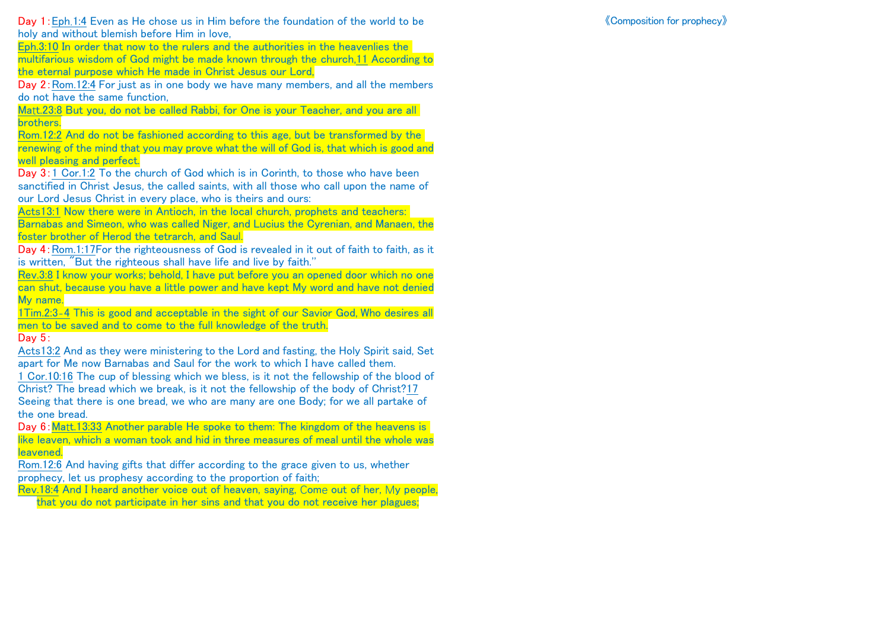Eph.3:10 In order that now to the rulers and the authorities in the heavenlies the multifarious wisdom of God might be made known through the church,11 According to the eternal purpose which He made in Christ Jesus our Lord,

Day 2:Rom.12:4 For just as in one body we have many members, and all the members do not have the same function,

Matt.23:8 But you, do not be called Rabbi, for One is your Teacher, and you are all brothers.

Rom.12:2 And do not be fashioned according to this age, but be transformed by the renewing of the mind that you may prove what the will of God is, that which is good and well pleasing and perfect.

Day 3:1 Cor.1:2 To the church of God which is in Corinth, to those who have been sanctified in Christ Jesus, the called saints, with all those who call upon the name of our Lord Jesus Christ in every place, who is theirs and ours:

Acts13:1 Now there were in Antioch, in the local church, prophets and teachers: Barnabas and Simeon, who was called Niger, and Lucius the Cyrenian, and Manaen, the foster brother of Herod the tetrarch, and Saul.

Day 4: Rom.1:17For the righteousness of God is revealed in it out of faith to faith, as it is written, "But the righteous shall have life and live by faith.''

Rev.3:8 I know your works; behold, I have put before you an opened door which no one can shut, because you have a little power and have kept My word and have not denied My name.

1Tim.2:3-4 This is good and acceptable in the sight of our Savior God, Who desires all men to be saved and to come to the full knowledge of the truth.

Day 5:

Acts13:2 And as they were ministering to the Lord and fasting, the Holy Spirit said, Set apart for Me now Barnabas and Saul for the work to which I have called them.

1 Cor.10:16 The cup of blessing which we bless, is it not the fellowship of the blood of Christ? The bread which we break, is it not the fellowship of the body of Christ?17 Seeing that there is one bread, we who are many are one Body; for we all partake of the one bread.

Day 6:Matt.13:33 Another parable He spoke to them: The kingdom of the heavens is like leaven, which a woman took and hid in three measures of meal until the whole was leavened.

Rom.12:6 And having gifts that differ according to the grace given to us, whether prophecy, let us prophesy according to the proportion of faith;

Rev.18:4 And I heard another voice out of heaven, saying, Come out of her, My people, that you do not participate in her sins and that you do not receive her plagues;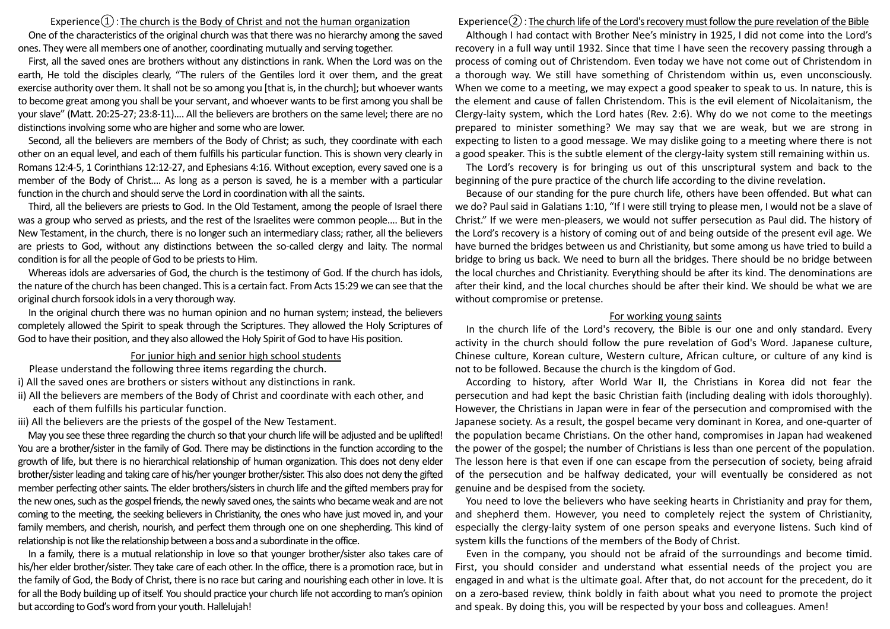## Experience $(1)$ : The church is the Body of Christ and not the human organization

One of the characteristics of the original church was that there was no hierarchy among the saved ones. They were all members one of another, coordinating mutually and serving together.

First, all the saved ones are brothers without any distinctions in rank. When the Lord was on the earth, He told the disciples clearly, "The rulers of the Gentiles lord it over them, and the great exercise authority over them. It shall not be so among you [that is, in the church]; but whoever wants to become great among you shall be your servant, and whoever wants to be first among you shall be your slave" (Matt. 20:25-27; 23:8-11).... All the believers are brothers on the same level; there are no distinctions involving some who are higher and some who are lower.

Second, all the believers are members of the Body of Christ; as such, they coordinate with each other on an equal level, and each of them fulfills his particular function. This is shown very clearly in Romans 12:4-5, 1 Corinthians 12:12-27, and Ephesians 4:16. Without exception, every saved one is a member of the Body of Christ.... As long as a person is saved, he is a member with a particular function in the church and should serve the Lord in coordination with all the saints.

Third, all the believers are priests to God. In the Old Testament, among the people of Israel there was a group who served as priests, and the rest of the Israelites were common people.... But in the New Testament, in the church, there is no longer such an intermediary class; rather, all the believers are priests to God, without any distinctions between the so-called clergy and laity. The normal condition is for all the people of God to be priests to Him.

Whereas idols are adversaries of God, the church is the testimony of God. If the church has idols, the nature of the church has been changed. This is a certain fact. From Acts 15:29 we can see that the original church forsook idols in a very thorough way.

In the original church there was no human opinion and no human system; instead, the believers completely allowed the Spirit to speak through the Scriptures. They allowed the Holy Scriptures of God to have their position, and they also allowed the Holy Spirit of God to have His position.

## For junior high and senior high school students

Please understand the following three items regarding the church.

- i) All the saved ones are brothers or sisters without any distinctions in rank.
- ii) All the believers are members of the Body of Christ and coordinate with each other, and each of them fulfills his particular function.

iii) All the believers are the priests of the gospel of the New Testament.

May you see these three regarding the church so that your church life will be adjusted and be uplifted! You are a brother/sister in the family of God. There may be distinctions in the function according to the growth of life, but there is no hierarchical relationship of human organization. This does not deny elder brother/sister leading and taking care of his/her younger brother/sister. This also does not deny the gifted member perfecting other saints. The elder brothers/sisters in church life and the gifted members pray for the new ones, such as the gospel friends, the newly saved ones, the saints who became weak and are not coming to the meeting, the seeking believers in Christianity, the ones who have just moved in, and your family members, and cherish, nourish, and perfect them through one on one shepherding. This kind of relationship is not like the relationship between a boss and a subordinate in the office.

In a family, there is a mutual relationship in love so that younger brother/sister also takes care of his/her elder brother/sister. They take care of each other. In the office, there is a promotion race, but in the family of God, the Body of Christ, there is no race but caring and nourishing each other in love. It is for all the Body building up of itself. You should practice your church life not according to man's opinion but according to God's word from your youth. Hallelujah!

Experience $(2)$ : The church life of the Lord's recovery must follow the pure revelation of the Bible

Although I had contact with Brother Nee's ministry in 1925, I did not come into the Lord's recovery in a full way until 1932. Since that time I have seen the recovery passing through a process of coming out of Christendom. Even today we have not come out of Christendom in a thorough way. We still have something of Christendom within us, even unconsciously. When we come to a meeting, we may expect a good speaker to speak to us. In nature, this is the element and cause of fallen Christendom. This is the evil element of Nicolaitanism, the Clergy-laity system, which the Lord hates (Rev. 2:6). Why do we not come to the meetings prepared to minister something? We may say that we are weak, but we are strong in expecting to listen to a good message. We may dislike going to a meeting where there is not a good speaker. This is the subtle element of the clergy-laity system still remaining within us.

The Lord's recovery is for bringing us out of this unscriptural system and back to the beginning of the pure practice of the church life according to the divine revelation.

Because of our standing for the pure church life, others have been offended. But what can we do? Paul said in Galatians 1:10, "If I were still trying to please men, I would not be a slave of Christ." If we were men-pleasers, we would not suffer persecution as Paul did. The history of the Lord's recovery is a history of coming out of and being outside of the present evil age. We have burned the bridges between us and Christianity, but some among us have tried to build a bridge to bring us back. We need to burn all the bridges. There should be no bridge between the local churches and Christianity. Everything should be after its kind. The denominations are after their kind, and the local churches should be after their kind. We should be what we are without compromise or pretense.

## For working young saints

In the church life of the Lord's recovery, the Bible is our one and only standard. Every activity in the church should follow the pure revelation of God's Word. Japanese culture, Chinese culture, Korean culture, Western culture, African culture, or culture of any kind is not to be followed. Because the church is the kingdom of God.

According to history, after World War II, the Christians in Korea did not fear the persecution and had kept the basic Christian faith (including dealing with idols thoroughly). However, the Christians in Japan were in fear of the persecution and compromised with the Japanese society. As a result, the gospel became very dominant in Korea, and one-quarter of the population became Christians. On the other hand, compromises in Japan had weakened the power of the gospel; the number of Christians is less than one percent of the population. The lesson here is that even if one can escape from the persecution of society, being afraid of the persecution and be halfway dedicated, your will eventually be considered as not genuine and be despised from the society.

You need to love the believers who have seeking hearts in Christianity and pray for them, and shepherd them. However, you need to completely reject the system of Christianity, especially the clergy-laity system of one person speaks and everyone listens. Such kind of system kills the functions of the members of the Body of Christ.

Even in the company, you should not be afraid of the surroundings and become timid. First, you should consider and understand what essential needs of the project you are engaged in and what is the ultimate goal. After that, do not account for the precedent, do it on a zero-based review, think boldly in faith about what you need to promote the project and speak. By doing this, you will be respected by your boss and colleagues. Amen!